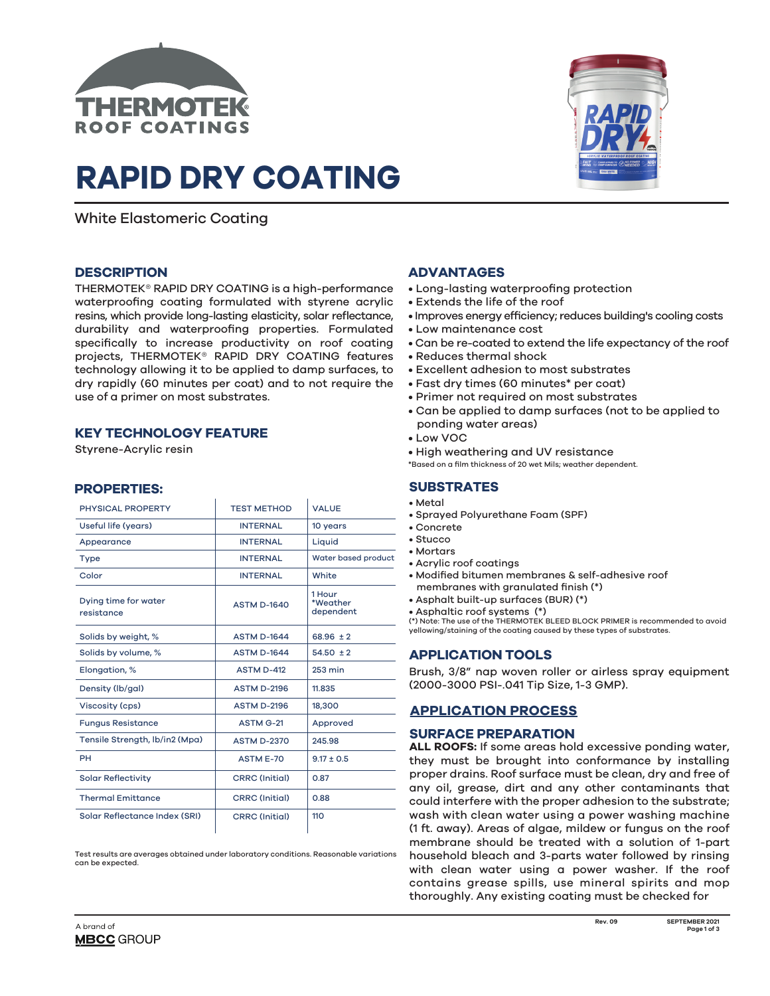

# **RAPID DRY COATING**

White Elastomeric Coating

## **DESCRIPTION**

THERMOTEK® RAPID DRY COATING is a high-performance waterproofing coating formulated with styrene acrylic resins, which provide long-lasting elasticity, solar reflectance, durability and waterproofing properties. Formulated specifically to increase productivity on roof coating projects, THERMOTEK® RAPID DRY COATING features technology allowing it to be applied to damp surfaces, to dry rapidly (60 minutes per coat) and to not require the use of a primer on most substrates.

# **KEY TECHNOLOGY FEATURE**

Styrene-Acrylic resin

# **PROPERTIES:**

| <b>TEST METHOD</b>    | <b>VALUE</b>                    |
|-----------------------|---------------------------------|
| <b>INTERNAL</b>       | 10 years                        |
| <b>INTERNAL</b>       | Liquid                          |
| <b>INTERNAL</b>       | Water based product             |
| <b>INTERNAL</b>       | White                           |
| <b>ASTM D-1640</b>    | 1 Hour<br>*Weather<br>dependent |
| <b>ASTM D-1644</b>    | $68.96 \pm 2$                   |
| <b>ASTM D-1644</b>    | $54.50 \pm 2$                   |
| <b>ASTM D-412</b>     | $253$ min                       |
| <b>ASTM D-2196</b>    | 11.835                          |
| <b>ASTM D-2196</b>    | 18,300                          |
| <b>ASTM G-21</b>      | Approved                        |
| <b>ASTM D-2370</b>    | 245.98                          |
| <b>ASTM E-70</b>      | $9.17 \pm 0.5$                  |
| <b>CRRC</b> (Initial) | 0.87                            |
| <b>CRRC</b> (Initial) | 0.88                            |
| <b>CRRC</b> (Initial) | 110                             |
|                       |                                 |

Test results are averages obtained under laboratory conditions. Reasonable variations can be expected



# **ADVANTAGES**

- Long-lasting waterproofing protection
- Extends the life of the roof
- Improves energy efficiency; reduces building's cooling costs
- Low maintenance cost
- Can be re-coated to extend the life expectancy of the roof
- Reduces thermal shock
- Excellent adhesion to most substrates
- Fast dry times (60 minutes\* per coat)
- Primer not required on most substrates
- Can be applied to damp surfaces (not to be applied to ponding water areas)
- Low VOC
- High weathering and UV resistance

\*Based on a film thickness of 20 wet Mils; weather dependent.

# **SUBSTRATES**

- Metal
- Sprayed Polyurethane Foam (SPF)
- Concrete
- Stucco
- Mortars
- Acrylic roof coatings
- Modified bitumen membranes & self-adhesive roof membranes with granulated finish (\*)
- Asphalt built-up surfaces (BUR) (\*)
- Asphaltic roof systems (\*)

(\*) Note: The use of the THERMOTEK BLEED BLOCK PRIMER is recommended to avoid yellowing/staining of the coating caused by these types of substrates.

## **APPLICATION TOOLS**

Brush, 3/8" nap woven roller or airless spray equipment (2000-3000 PSI-.041 Tip Size, 1-3 GMP).

## **APPLICATION PROCESS**

#### **SURFACE PREPARATION**

**ALL ROOFS:** If some areas hold excessive ponding water, they must be brought into conformance by installing proper drains. Roof surface must be clean, dry and free of any oil, grease, dirt and any other contaminants that could interfere with the proper adhesion to the substrate; wash with clean water using a power washing machine (1 ft. away). Areas of algae, mildew or fungus on the roof membrane should be treated with a solution of 1-part household bleach and 3-parts water followed by rinsing with clean water using a power washer. If the roof contains grease spills, use mineral spirits and mop thoroughly. Any existing coating must be checked for

**Rev. 09**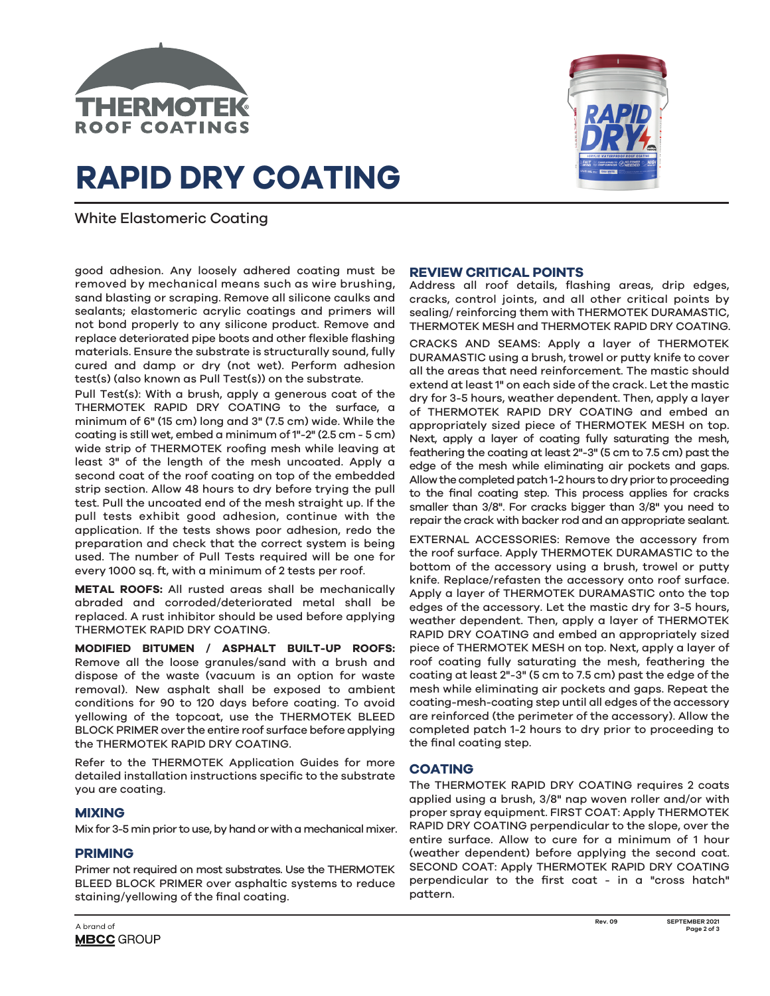

# **RAPID DRY COATING**



White Elastomeric Coating

good adhesion. Any loosely adhered coating must be removed by mechanical means such as wire brushing, sand blasting or scraping. Remove all silicone caulks and sealants; elastomeric acrylic coatings and primers will not bond properly to any silicone product. Remove and replace deteriorated pipe boots and other flexible flashing materials. Ensure the substrate is structurally sound, fully cured and damp or dry (not wet). Perform adhesion test(s) (also known as Pull Test(s)) on the substrate.

Pull Test(s): With a brush, apply a generous coat of the THERMOTEK RAPID DRY COATING to the surface, a minimum of 6" (15 cm) long and 3" (7.5 cm) wide. While the coating is still wet, embed a minimum of 1"-2" (2.5 cm - 5 cm) wide strip of THERMOTEK roofing mesh while leaving at least 3" of the length of the mesh uncoated. Apply a second coat of the roof coating on top of the embedded strip section. Allow 48 hours to dry before trying the pull test. Pull the uncoated end of the mesh straight up. If the pull tests exhibit good adhesion, continue with the application. If the tests shows poor adhesion, redo the preparation and check that the correct system is being used. The number of Pull Tests required will be one for every 1000 sq. ft, with a minimum of 2 tests per roof.

**METAL ROOFS:** All rusted areas shall be mechanically abraded and corroded/deteriorated metal shall be replaced. A rust inhibitor should be used before applying THERMOTEK RAPID DRY COATING.

**MODIFIED BITUMEN / ASPHALT BUILT-UP ROOFS:**  Remove all the loose granules/sand with a brush and dispose of the waste (vacuum is an option for waste removal). New asphalt shall be exposed to ambient conditions for 90 to 120 days before coating. To avoid yellowing of the topcoat, use the THERMOTEK BLEED BLOCK PRIMER over the entire roof surface before applying the THERMOTEK RAPID DRY COATING.

Refer to the THERMOTEK Application Guides for more detailed installation instructions specific to the substrate you are coating.

## **MIXING**

Mix for 3-5 min prior to use, by hand or with a mechanical mixer.

# **PRIMING**

Primer not required on most substrates. Use the THERMOTEK BLEED BLOCK PRIMER over asphaltic systems to reduce staining/yellowing of the final coating.

# **REVIEW CRITICAL POINTS**

Address all roof details, flashing areas, drip edges, cracks, control joints, and all other critical points by sealing/ reinforcing them with THERMOTEK DURAMASTIC, THERMOTEK MESH and THERMOTEK RAPID DRY COATING.

CRACKS AND SEAMS: Apply a layer of THERMOTEK DURAMASTIC using a brush, trowel or putty knife to cover all the areas that need reinforcement. The mastic should extend at least 1" on each side of the crack. Let the mastic dry for 3-5 hours, weather dependent. Then, apply a layer of THERMOTEK RAPID DRY COATING and embed an appropriately sized piece of THERMOTEK MESH on top. Next, apply a layer of coating fully saturating the mesh, feathering the coating at least 2"-3" (5 cm to 7.5 cm) past the edge of the mesh while eliminating air pockets and gaps. Allow the completed patch 1-2 hours to dry prior to proceeding to the final coating step. This process applies for cracks smaller than 3/8". For cracks bigger than 3/8" you need to repair the crack with backer rod and an appropriate sealant.

EXTERNAL ACCESSORIES: Remove the accessory from the roof surface. Apply THERMOTEK DURAMASTIC to the bottom of the accessory using a brush, trowel or putty knife. Replace/refasten the accessory onto roof surface. Apply a layer of THERMOTEK DURAMASTIC onto the top edges of the accessory. Let the mastic dry for 3-5 hours, weather dependent. Then, apply a layer of THERMOTEK RAPID DRY COATING and embed an appropriately sized piece of THERMOTEK MESH on top. Next, apply a layer of roof coating fully saturating the mesh, feathering the coating at least 2"-3" (5 cm to 7.5 cm) past the edge of the mesh while eliminating air pockets and gaps. Repeat the coating-mesh-coating step until all edges of the accessory are reinforced (the perimeter of the accessory). Allow the completed patch 1-2 hours to dry prior to proceeding to the final coating step.

# **COATING**

The THERMOTEK RAPID DRY COATING requires 2 coats applied using a brush, 3/8" nap woven roller and/or with proper spray equipment. FIRST COAT: Apply THERMOTEK RAPID DRY COATING perpendicular to the slope, over the entire surface. Allow to cure for a minimum of 1 hour (weather dependent) before applying the second coat. SECOND COAT: Apply THERMOTEK RAPID DRY COATING perpendicular to the first coat - in a "cross hatch" pattern.